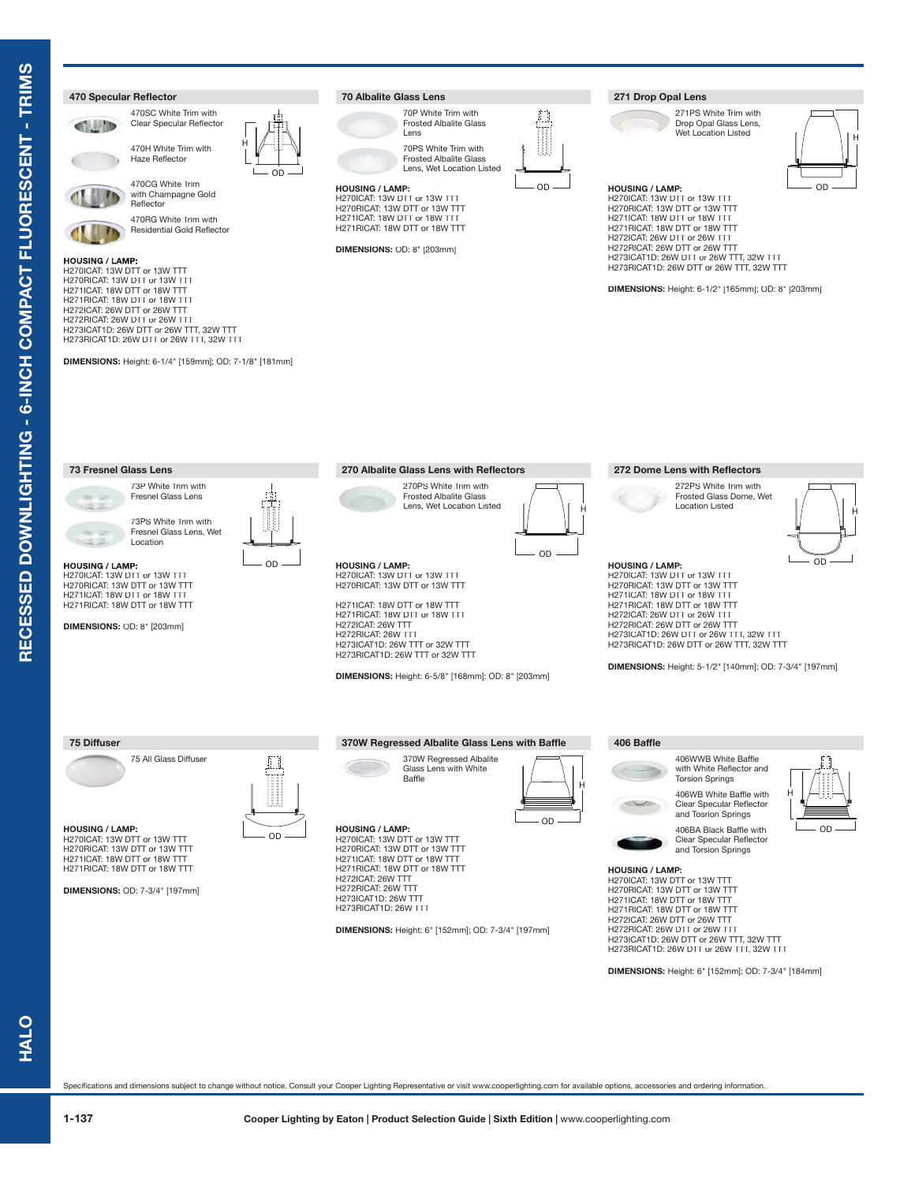

Specifications and dimensions subject to change without notice. Consult your Cooper Lighting Representative or visit www.cooperlighting.com for available options, accessories and ordering information.

**HALO**